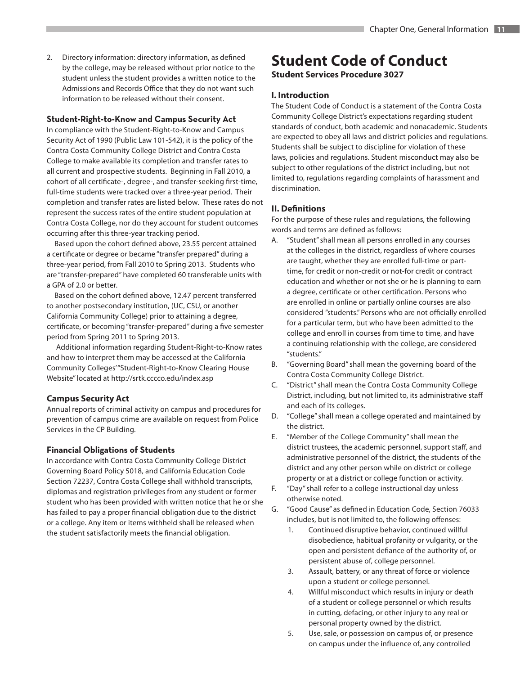2. Directory information: directory information, as defined by the college, may be released without prior notice to the student unless the student provides a written notice to the Admissions and Records Office that they do not want such information to be released without their consent.

#### **Student-Right-to-Know and Campus Security Act**

In compliance with the Student-Right-to-Know and Campus Security Act of 1990 (Public Law 101-542), it is the policy of the Contra Costa Community College District and Contra Costa College to make available its completion and transfer rates to all current and prospective students. Beginning in Fall 2010, a cohort of all certificate-, degree-, and transfer-seeking first-time, full-time students were tracked over a three-year period. Their completion and transfer rates are listed below. These rates do not represent the success rates of the entire student population at Contra Costa College, nor do they account for student outcomes occurring after this three-year tracking period.

Based upon the cohort defined above, 23.55 percent attained a certificate or degree or became "transfer prepared" during a three-year period, from Fall 2010 to Spring 2013. Students who are "transfer-prepared" have completed 60 transferable units with a GPA of 2.0 or better.

Based on the cohort defined above, 12.47 percent transferred to another postsecondary institution, (UC, CSU, or another California Community College) prior to attaining a degree, certificate, or becoming "transfer-prepared" during a five semester period from Spring 2011 to Spring 2013.

 Additional information regarding Student-Right-to-Know rates and how to interpret them may be accessed at the California Community Colleges' "Student-Right-to-Know Clearing House Website" located at http://srtk.cccco.edu/index.asp

## **Campus Security Act**

Annual reports of criminal activity on campus and procedures for prevention of campus crime are available on request from Police Services in the CP Building.

#### **Financial Obligations of Students**

In accordance with Contra Costa Community College District Governing Board Policy 5018, and California Education Code Section 72237, Contra Costa College shall withhold transcripts, diplomas and registration privileges from any student or former student who has been provided with written notice that he or she has failed to pay a proper financial obligation due to the district or a college. Any item or items withheld shall be released when the student satisfactorily meets the financial obligation.

# **Student Code of Conduct**

**Student Services Procedure 3027**

## **I. Introduction**

The Student Code of Conduct is a statement of the Contra Costa Community College District's expectations regarding student standards of conduct, both academic and nonacademic. Students are expected to obey all laws and district policies and regulations. Students shall be subject to discipline for violation of these laws, policies and regulations. Student misconduct may also be subject to other regulations of the district including, but not limited to, regulations regarding complaints of harassment and discrimination.

## **II. Definitions**

For the purpose of these rules and regulations, the following words and terms are defined as follows:

- A. "Student" shall mean all persons enrolled in any courses at the colleges in the district, regardless of where courses are taught, whether they are enrolled full-time or parttime, for credit or non-credit or not-for credit or contract education and whether or not she or he is planning to earn a degree, certificate or other certification. Persons who are enrolled in online or partially online courses are also considered "students." Persons who are not officially enrolled for a particular term, but who have been admitted to the college and enroll in courses from time to time, and have a continuing relationship with the college, are considered "students."
- B. "Governing Board" shall mean the governing board of the Contra Costa Community College District.
- C. "District" shall mean the Contra Costa Community College District, including, but not limited to, its administrative staff and each of its colleges.
- D. "College" shall mean a college operated and maintained by the district.
- E. "Member of the College Community" shall mean the district trustees, the academic personnel, support staff, and administrative personnel of the district, the students of the district and any other person while on district or college property or at a district or college function or activity.
- F. "Day" shall refer to a college instructional day unless otherwise noted.
- G. "Good Cause" as defined in Education Code, Section 76033 includes, but is not limited to, the following offenses:
	- 1. Continued disruptive behavior, continued willful disobedience, habitual profanity or vulgarity, or the open and persistent defiance of the authority of, or persistent abuse of, college personnel.
	- 3. Assault, battery, or any threat of force or violence upon a student or college personnel.
	- 4. Willful misconduct which results in injury or death of a student or college personnel or which results in cutting, defacing, or other injury to any real or personal property owned by the district.
	- 5. Use, sale, or possession on campus of, or presence on campus under the influence of, any controlled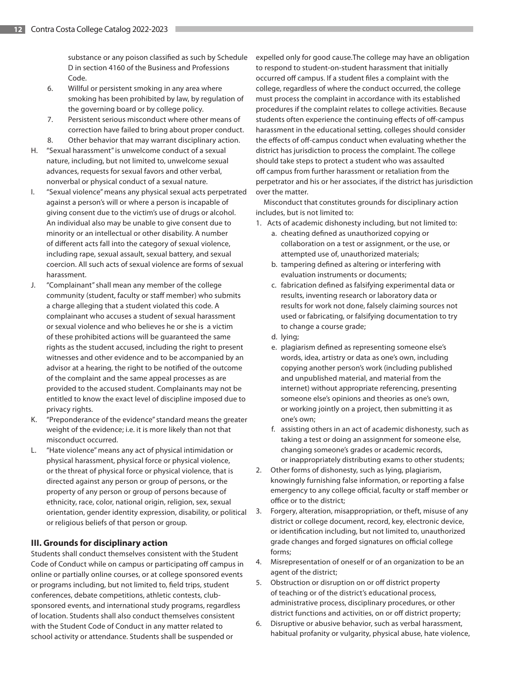substance or any poison classified as such by Schedule D in section 4160 of the Business and Professions Code.

- 6. Willful or persistent smoking in any area where smoking has been prohibited by law, by regulation of the governing board or by college policy.
- 7. Persistent serious misconduct where other means of correction have failed to bring about proper conduct. 8. Other behavior that may warrant disciplinary action.
- H. "Sexual harassment" is unwelcome conduct of a sexual nature, including, but not limited to, unwelcome sexual advances, requests for sexual favors and other verbal, nonverbal or physical conduct of a sexual nature.
- I. "Sexual violence" means any physical sexual acts perpetrated against a person's will or where a person is incapable of giving consent due to the victim's use of drugs or alcohol. An individual also may be unable to give consent due to minority or an intellectual or other disability. A number of different acts fall into the category of sexual violence, including rape, sexual assault, sexual battery, and sexual coercion. All such acts of sexual violence are forms of sexual harassment.
- J. "Complainant" shall mean any member of the college community (student, faculty or staff member) who submits a charge alleging that a student violated this code. A complainant who accuses a student of sexual harassment or sexual violence and who believes he or she is a victim of these prohibited actions will be guaranteed the same rights as the student accused, including the right to present witnesses and other evidence and to be accompanied by an advisor at a hearing, the right to be notified of the outcome of the complaint and the same appeal processes as are provided to the accused student. Complainants may not be entitled to know the exact level of discipline imposed due to privacy rights.
- K. "Preponderance of the evidence" standard means the greater weight of the evidence; i.e. it is more likely than not that misconduct occurred.
- L. "Hate violence" means any act of physical intimidation or physical harassment, physical force or physical violence, or the threat of physical force or physical violence, that is directed against any person or group of persons, or the property of any person or group of persons because of ethnicity, race, color, national origin, religion, sex, sexual orientation, gender identity expression, disability, or political or religious beliefs of that person or group.

# **III. Grounds for disciplinary action**

Students shall conduct themselves consistent with the Student Code of Conduct while on campus or participating off campus in online or partially online courses, or at college sponsored events or programs including, but not limited to, field trips, student conferences, debate competitions, athletic contests, clubsponsored events, and international study programs, regardless of location. Students shall also conduct themselves consistent with the Student Code of Conduct in any matter related to school activity or attendance. Students shall be suspended or

expelled only for good cause.The college may have an obligation to respond to student-on-student harassment that initially occurred off campus. If a student files a complaint with the college, regardless of where the conduct occurred, the college must process the complaint in accordance with its established procedures if the complaint relates to college activities. Because students often experience the continuing effects of off-campus harassment in the educational setting, colleges should consider the effects of off-campus conduct when evaluating whether the district has jurisdiction to process the complaint. The college should take steps to protect a student who was assaulted off campus from further harassment or retaliation from the perpetrator and his or her associates, if the district has jurisdiction over the matter.

Misconduct that constitutes grounds for disciplinary action includes, but is not limited to:

- 1. Acts of academic dishonesty including, but not limited to:
	- a. cheating defined as unauthorized copying or collaboration on a test or assignment, or the use, or attempted use of, unauthorized materials;
	- b. tampering defined as altering or interfering with evaluation instruments or documents;
	- c. fabrication defined as falsifying experimental data or results, inventing research or laboratory data or results for work not done, falsely claiming sources not used or fabricating, or falsifying documentation to try to change a course grade;
	- d. lying;
	- e. plagiarism defined as representing someone else's words, idea, artistry or data as one's own, including copying another person's work (including published and unpublished material, and material from the internet) without appropriate referencing, presenting someone else's opinions and theories as one's own, or working jointly on a project, then submitting it as one's own;
	- f. assisting others in an act of academic dishonesty, such as taking a test or doing an assignment for someone else, changing someone's grades or academic records, or inappropriately distributing exams to other students;
- 2. Other forms of dishonesty, such as lying, plagiarism, knowingly furnishing false information, or reporting a false emergency to any college official, faculty or staff member or office or to the district;
- 3. Forgery, alteration, misappropriation, or theft, misuse of any district or college document, record, key, electronic device, or identification including, but not limited to, unauthorized grade changes and forged signatures on official college forms;
- 4. Misrepresentation of oneself or of an organization to be an agent of the district;
- 5. Obstruction or disruption on or off district property of teaching or of the district's educational process, administrative process, disciplinary procedures, or other district functions and activities, on or off district property;
- 6. Disruptive or abusive behavior, such as verbal harassment, habitual profanity or vulgarity, physical abuse, hate violence,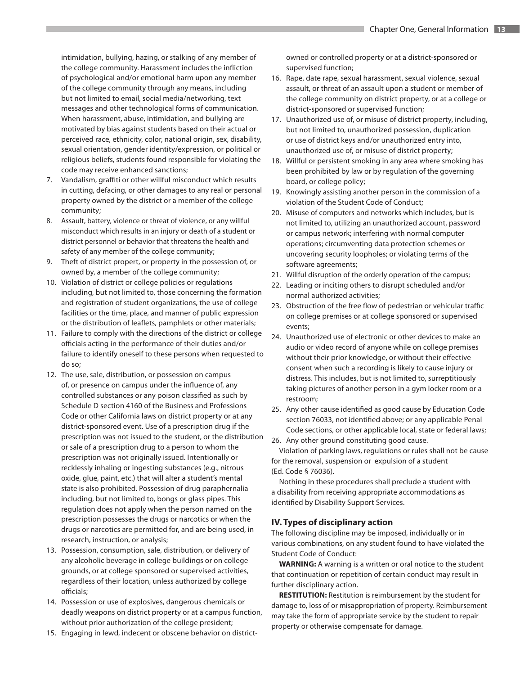intimidation, bullying, hazing, or stalking of any member of the college community. Harassment includes the infliction of psychological and/or emotional harm upon any member of the college community through any means, including but not limited to email, social media/networking, text messages and other technological forms of communication. When harassment, abuse, intimidation, and bullying are motivated by bias against students based on their actual or perceived race, ethnicity, color, national origin, sex, disability, sexual orientation, gender identity/expression, or political or religious beliefs, students found responsible for violating the code may receive enhanced sanctions;

- 7. Vandalism, graffiti or other willful misconduct which results in cutting, defacing, or other damages to any real or personal property owned by the district or a member of the college community;
- 8. Assault, battery, violence or threat of violence, or any willful misconduct which results in an injury or death of a student or district personnel or behavior that threatens the health and safety of any member of the college community;
- 9. Theft of district propert, or property in the possession of, or owned by, a member of the college community;
- 10. Violation of district or college policies or regulations including, but not limited to, those concerning the formation and registration of student organizations, the use of college facilities or the time, place, and manner of public expression or the distribution of leaflets, pamphlets or other materials;
- 11. Failure to comply with the directions of the district or college officials acting in the performance of their duties and/or failure to identify oneself to these persons when requested to do so;
- 12. The use, sale, distribution, or possession on campus of, or presence on campus under the influence of, any controlled substances or any poison classified as such by Schedule D section 4160 of the Business and Professions Code or other California laws on district property or at any district-sponsored event. Use of a prescription drug if the prescription was not issued to the student, or the distribution or sale of a prescription drug to a person to whom the prescription was not originally issued. Intentionally or recklessly inhaling or ingesting substances (e.g., nitrous oxide, glue, paint, etc.) that will alter a student's mental state is also prohibited. Possession of drug paraphernalia including, but not limited to, bongs or glass pipes. This regulation does not apply when the person named on the prescription possesses the drugs or narcotics or when the drugs or narcotics are permitted for, and are being used, in research, instruction, or analysis;
- 13. Possession, consumption, sale, distribution, or delivery of any alcoholic beverage in college buildings or on college grounds, or at college sponsored or supervised activities, regardless of their location, unless authorized by college officials;
- 14. Possession or use of explosives, dangerous chemicals or deadly weapons on district property or at a campus function, without prior authorization of the college president;
- 15. Engaging in lewd, indecent or obscene behavior on district-

owned or controlled property or at a district-sponsored or supervised function;

- 16. Rape, date rape, sexual harassment, sexual violence, sexual assault, or threat of an assault upon a student or member of the college community on district property, or at a college or district-sponsored or supervised function;
- 17. Unauthorized use of, or misuse of district property, including, but not limited to, unauthorized possession, duplication or use of district keys and/or unauthorized entry into, unauthorized use of, or misuse of district property;
- 18. Willful or persistent smoking in any area where smoking has been prohibited by law or by regulation of the governing board, or college policy;
- 19. Knowingly assisting another person in the commission of a violation of the Student Code of Conduct;
- 20. Misuse of computers and networks which includes, but is not limited to, utilizing an unauthorized account, password or campus network; interfering with normal computer operations; circumventing data protection schemes or uncovering security loopholes; or violating terms of the software agreements;
- 21. Willful disruption of the orderly operation of the campus;
- 22. Leading or inciting others to disrupt scheduled and/or normal authorized activities;
- 23. Obstruction of the free flow of pedestrian or vehicular traffic on college premises or at college sponsored or supervised events;
- 24. Unauthorized use of electronic or other devices to make an audio or video record of anyone while on college premises without their prior knowledge, or without their effective consent when such a recording is likely to cause injury or distress. This includes, but is not limited to, surreptitiously taking pictures of another person in a gym locker room or a restroom;
- 25. Any other cause identified as good cause by Education Code section 76033, not identified above; or any applicable Penal Code sections, or other applicable local, state or federal laws;
- 26. Any other ground constituting good cause.

Violation of parking laws, regulations or rules shall not be cause for the removal, suspension or expulsion of a student (Ed. Code § 76036).

Nothing in these procedures shall preclude a student with a disability from receiving appropriate accommodations as identified by Disability Support Services.

# **IV. Types of disciplinary action**

The following discipline may be imposed, individually or in various combinations, on any student found to have violated the Student Code of Conduct:

**WARNING:** A warning is a written or oral notice to the student that continuation or repetition of certain conduct may result in further disciplinary action.

**RESTITUTION:** Restitution is reimbursement by the student for damage to, loss of or misappropriation of property. Reimbursement may take the form of appropriate service by the student to repair property or otherwise compensate for damage.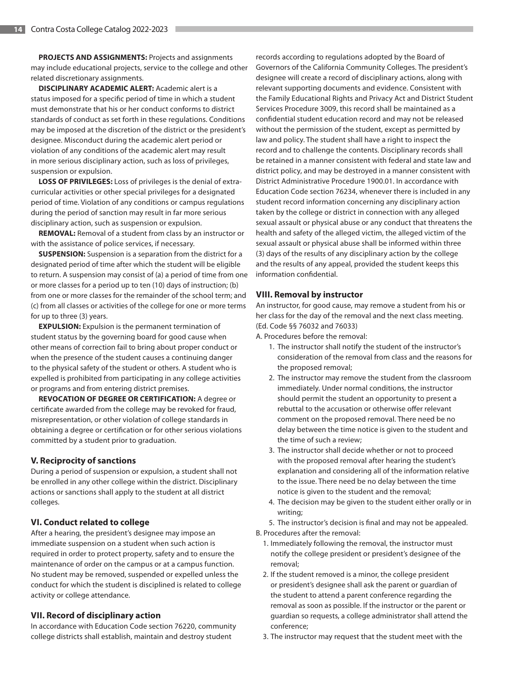**PROJECTS AND ASSIGNMENTS:** Projects and assignments may include educational projects, service to the college and other related discretionary assignments.

**DISCIPLINARY ACADEMIC ALERT:** Academic alert is a status imposed for a specific period of time in which a student must demonstrate that his or her conduct conforms to district standards of conduct as set forth in these regulations. Conditions may be imposed at the discretion of the district or the president's designee. Misconduct during the academic alert period or violation of any conditions of the academic alert may result in more serious disciplinary action, such as loss of privileges, suspension or expulsion.

**LOSS OF PRIVILEGES:** Loss of privileges is the denial of extracurricular activities or other special privileges for a designated period of time. Violation of any conditions or campus regulations during the period of sanction may result in far more serious disciplinary action, such as suspension or expulsion.

**REMOVAL:** Removal of a student from class by an instructor or with the assistance of police services, if necessary.

**SUSPENSION:** Suspension is a separation from the district for a designated period of time after which the student will be eligible to return. A suspension may consist of (a) a period of time from one or more classes for a period up to ten (10) days of instruction; (b) from one or more classes for the remainder of the school term; and (c) from all classes or activities of the college for one or more terms for up to three (3) years.

**EXPULSION:** Expulsion is the permanent termination of student status by the governing board for good cause when other means of correction fail to bring about proper conduct or when the presence of the student causes a continuing danger to the physical safety of the student or others. A student who is expelled is prohibited from participating in any college activities or programs and from entering district premises.

**REVOCATION OF DEGREE OR CERTIFICATION:** A degree or certificate awarded from the college may be revoked for fraud, misrepresentation, or other violation of college standards in obtaining a degree or certification or for other serious violations committed by a student prior to graduation.

#### **V. Reciprocity of sanctions**

During a period of suspension or expulsion, a student shall not be enrolled in any other college within the district. Disciplinary actions or sanctions shall apply to the student at all district colleges.

#### **VI. Conduct related to college**

After a hearing, the president's designee may impose an immediate suspension on a student when such action is required in order to protect property, safety and to ensure the maintenance of order on the campus or at a campus function. No student may be removed, suspended or expelled unless the conduct for which the student is disciplined is related to college activity or college attendance.

#### **VII. Record of disciplinary action**

In accordance with Education Code section 76220, community college districts shall establish, maintain and destroy student

records according to regulations adopted by the Board of Governors of the California Community Colleges. The president's designee will create a record of disciplinary actions, along with relevant supporting documents and evidence. Consistent with the Family Educational Rights and Privacy Act and District Student Services Procedure 3009, this record shall be maintained as a confidential student education record and may not be released without the permission of the student, except as permitted by law and policy. The student shall have a right to inspect the record and to challenge the contents. Disciplinary records shall be retained in a manner consistent with federal and state law and district policy, and may be destroyed in a manner consistent with District Administrative Procedure 1900.01. In accordance with Education Code section 76234, whenever there is included in any student record information concerning any disciplinary action taken by the college or district in connection with any alleged sexual assault or physical abuse or any conduct that threatens the health and safety of the alleged victim, the alleged victim of the sexual assault or physical abuse shall be informed within three (3) days of the results of any disciplinary action by the college and the results of any appeal, provided the student keeps this information confidential.

#### **VIII. Removal by instructor**

An instructor, for good cause, may remove a student from his or her class for the day of the removal and the next class meeting. (Ed. Code §§ 76032 and 76033)

A. Procedures before the removal:

- 1. The instructor shall notify the student of the instructor's consideration of the removal from class and the reasons for the proposed removal;
- 2. The instructor may remove the student from the classroom immediately. Under normal conditions, the instructor should permit the student an opportunity to present a rebuttal to the accusation or otherwise offer relevant comment on the proposed removal. There need be no delay between the time notice is given to the student and the time of such a review;
- 3. The instructor shall decide whether or not to proceed with the proposed removal after hearing the student's explanation and considering all of the information relative to the issue. There need be no delay between the time notice is given to the student and the removal;
- 4. The decision may be given to the student either orally or in writing;

5. The instructor's decision is final and may not be appealed. B. Procedures after the removal:

- 1. Immediately following the removal, the instructor must notify the college president or president's designee of the removal;
- 2. If the student removed is a minor, the college president or president's designee shall ask the parent or guardian of the student to attend a parent conference regarding the removal as soon as possible. If the instructor or the parent or guardian so requests, a college administrator shall attend the conference;
- 3. The instructor may request that the student meet with the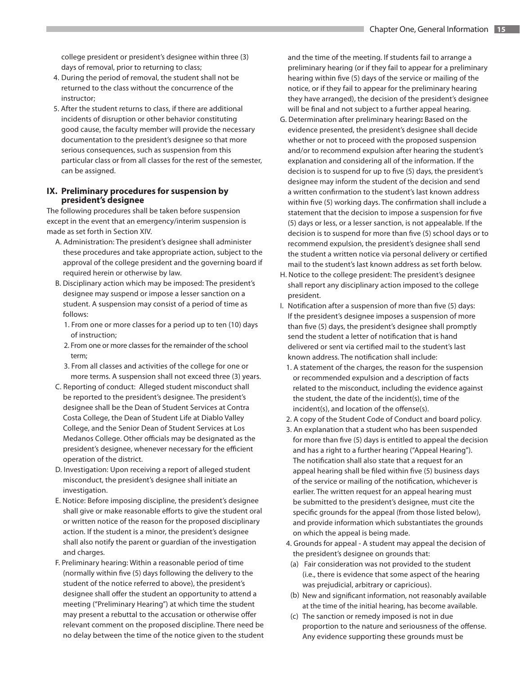college president or president's designee within three (3) days of removal, prior to returning to class;

- 4. During the period of removal, the student shall not be returned to the class without the concurrence of the instructor;
- 5. After the student returns to class, if there are additional incidents of disruption or other behavior constituting good cause, the faculty member will provide the necessary documentation to the president's designee so that more serious consequences, such as suspension from this particular class or from all classes for the rest of the semester, can be assigned.

## **IX. Preliminary procedures for suspension by president's designee**

The following procedures shall be taken before suspension except in the event that an emergency/interim suspension is made as set forth in Section XIV.

- A. Administration: The president's designee shall administer these procedures and take appropriate action, subject to the approval of the college president and the governing board if required herein or otherwise by law.
- B. Disciplinary action which may be imposed: The president's designee may suspend or impose a lesser sanction on a student. A suspension may consist of a period of time as follows:
	- 1. From one or more classes for a period up to ten (10) days of instruction;
	- 2. From one or more classes for the remainder of the school term;
	- 3. From all classes and activities of the college for one or more terms. A suspension shall not exceed three (3) years.
- C. Reporting of conduct: Alleged student misconduct shall be reported to the president's designee. The president's designee shall be the Dean of Student Services at Contra Costa College, the Dean of Student Life at Diablo Valley College, and the Senior Dean of Student Services at Los Medanos College. Other officials may be designated as the president's designee, whenever necessary for the efficient operation of the district.
- D. Investigation: Upon receiving a report of alleged student misconduct, the president's designee shall initiate an investigation.
- E. Notice: Before imposing discipline, the president's designee shall give or make reasonable efforts to give the student oral or written notice of the reason for the proposed disciplinary action. If the student is a minor, the president's designee shall also notify the parent or guardian of the investigation and charges.
- F. Preliminary hearing: Within a reasonable period of time (normally within five (5) days following the delivery to the student of the notice referred to above), the president's designee shall offer the student an opportunity to attend a meeting ("Preliminary Hearing") at which time the student may present a rebuttal to the accusation or otherwise offer relevant comment on the proposed discipline. There need be no delay between the time of the notice given to the student

and the time of the meeting. If students fail to arrange a preliminary hearing (or if they fail to appear for a preliminary hearing within five (5) days of the service or mailing of the notice, or if they fail to appear for the preliminary hearing they have arranged), the decision of the president's designee will be final and not subject to a further appeal hearing.

- G. Determination after preliminary hearing**:** Based on the evidence presented, the president's designee shall decide whether or not to proceed with the proposed suspension and/or to recommend expulsion after hearing the student's explanation and considering all of the information. If the decision is to suspend for up to five (5) days, the president's designee may inform the student of the decision and send a written confirmation to the student's last known address within five (5) working days. The confirmation shall include a statement that the decision to impose a suspension for five (5) days or less, or a lesser sanction, is not appealable. If the decision is to suspend for more than five (5) school days or to recommend expulsion, the president's designee shall send the student a written notice via personal delivery or certified mail to the student's last known address as set forth below.
- H. Notice to the college president: The president's designee shall report any disciplinary action imposed to the college president.
- I. Notification after a suspension of more than five (5) days: If the president's designee imposes a suspension of more than five (5) days, the president's designee shall promptly send the student a letter of notification that is hand delivered or sent via certified mail to the student's last known address. The notification shall include:
	- 1. A statement of the charges, the reason for the suspension or recommended expulsion and a description of facts related to the misconduct, including the evidence against the student, the date of the incident(s), time of the incident(s), and location of the offense(s).
	- 2. A copy of the Student Code of Conduct and board policy.
	- 3. An explanation that a student who has been suspended for more than five (5) days is entitled to appeal the decision and has a right to a further hearing ("Appeal Hearing"). The notification shall also state that a request for an appeal hearing shall be filed within five (5) business days of the service or mailing of the notification, whichever is earlier. The written request for an appeal hearing must be submitted to the president's designee, must cite the specific grounds for the appeal (from those listed below), and provide information which substantiates the grounds on which the appeal is being made.
	- 4. Grounds for appeal A student may appeal the decision of the president's designee on grounds that:
	- (a) Fair consideration was not provided to the student (i.e., there is evidence that some aspect of the hearing was prejudicial, arbitrary or capricious).
	- (b) New and significant information, not reasonably available at the time of the initial hearing, has become available.
	- (c) The sanction or remedy imposed is not in due proportion to the nature and seriousness of the offense. Any evidence supporting these grounds must be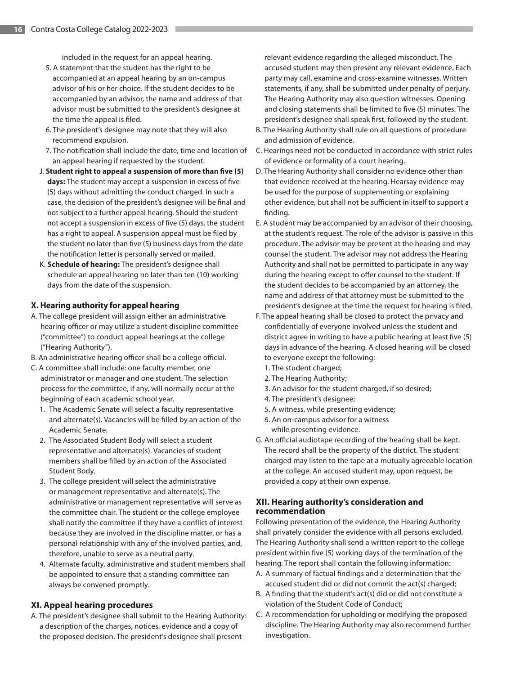included in the request for an appeal hearing.

- 5. A statement that the student has the right to be accompanied at an appeal hearing by an on-campus advisor of his or her choice. If the student decides to be accompanied by an advisor, the name and address of that advisor must be submitted to the president's designee at the time the appeal is filed.
- 6. The president's designee may note that they will also recommend expulsion.
- 7. The notification shall include the date, time and location of an appeal hearing if requested by the student.
- J. **Student right to appeal a suspension of more than five (5) days:** The student may accept a suspension in excess of five (5) days without admitting the conduct charged. In such a case, the decision of the president's designee will be final and not subject to a further appeal hearing. Should the student not accept a suspension in excess of five (5) days, the student has a right to appeal. A suspension appeal must be filed by the student no later than five (5) business days from the date the notification letter is personally served or mailed.
- K. **Schedule of hearing:** The president's designee shall schedule an appeal hearing no later than ten (10) working days from the date of the suspension.

#### **X. Hearing authority for appeal hearing**

- A. The college president will assign either an administrative hearing officer or may utilize a student discipline committee ("committee") to conduct appeal hearings at the college ("Hearing Authority").
- B. An administrative hearing officer shall be a college official.
- C. A committee shall include: one faculty member, one administrator or manager and one student. The selection process for the committee, if any, will normally occur at the beginning of each academic school year.
	- 1. The Academic Senate will select a faculty representative and alternate(s). Vacancies will be filled by an action of the Academic Senate.
	- 2. The Associated Student Body will select a student representative and alternate(s). Vacancies of student members shall be filled by an action of the Associated Student Body.
	- 3. The college president will select the administrative or management representative and alternate(s). The administrative or management representative will serve as the committee chair. The student or the college employee shall notify the committee if they have a conflict of interest because they are involved in the discipline matter, or has a personal relationship with any of the involved parties, and, therefore, unable to serve as a neutral party.
	- 4. Alternate faculty, administrative and student members shall be appointed to ensure that a standing committee can always be convened promptly.

## **XI. Appeal hearing procedures**

A. The president's designee shall submit to the Hearing Authority: a description of the charges, notices, evidence and a copy of the proposed decision. The president's designee shall present

relevant evidence regarding the alleged misconduct. The accused student may then present any relevant evidence. Each party may call, examine and cross-examine witnesses. Written statements, if any, shall be submitted under penalty of perjury. The Hearing Authority may also question witnesses. Opening and closing statements shall be limited to five (5) minutes. The president's designee shall speak first, followed by the student.

- B. The Hearing Authority shall rule on all questions of procedure and admission of evidence.
- C. Hearings need not be conducted in accordance with strict rules of evidence or formality of a court hearing.
- D. The Hearing Authority shall consider no evidence other than that evidence received at the hearing. Hearsay evidence may be used for the purpose of supplementing or explaining other evidence, but shall not be sufficient in itself to support a finding.
- E. A student may be accompanied by an advisor of their choosing, at the student's request. The role of the advisor is passive in this procedure. The advisor may be present at the hearing and may counsel the student. The advisor may not address the Hearing Authority and shall not be permitted to participate in any way during the hearing except to offer counsel to the student. If the student decides to be accompanied by an attorney, the name and address of that attorney must be submitted to the president's designee at the time the request for hearing is filed.
- F. The appeal hearing shall be closed to protect the privacy and confidentially of everyone involved unless the student and district agree in writing to have a public hearing at least five (5) days in advance of the hearing. A closed hearing will be closed to everyone except the following:
	- 1. The student charged;
	- 2. The Hearing Authority;
	- 3. An advisor for the student charged, if so desired;
	- 4. The president's designee;
	- 5. A witness, while presenting evidence;
	- 6. An on-campus advisor for a witness while presenting evidence.
- G. An official audiotape recording of the hearing shall be kept. The record shall be the property of the district. The student charged may listen to the tape at a mutually agreeable location at the college. An accused student may, upon request, be provided a copy at their own expense.

# **XII. Hearing authority's consideration and recommendation**

Following presentation of the evidence, the Hearing Authority shall privately consider the evidence with all persons excluded. The Hearing Authority shall send a written report to the college president within five (5) working days of the termination of the hearing. The report shall contain the following information:

- A. A summary of factual findings and a determination that the accused student did or did not commit the act(s) charged;
- B. A finding that the student's act(s) did or did not constitute a violation of the Student Code of Conduct;
- C. A recommendation for upholding or modifying the proposed discipline. The Hearing Authority may also recommend further investigation.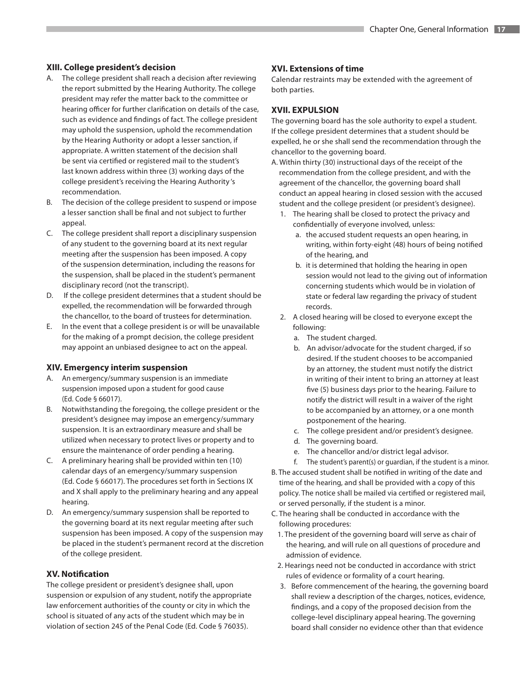## **XIII. College president's decision**

- A. The college president shall reach a decision after reviewing the report submitted by the Hearing Authority. The college president may refer the matter back to the committee or hearing officer for further clarification on details of the case, such as evidence and findings of fact. The college president may uphold the suspension, uphold the recommendation by the Hearing Authority or adopt a lesser sanction, if appropriate. A written statement of the decision shall be sent via certified or registered mail to the student's last known address within three (3) working days of the college president's receiving the Hearing Authority 's recommendation.
- B. The decision of the college president to suspend or impose a lesser sanction shall be final and not subject to further appeal.
- C. The college president shall report a disciplinary suspension of any student to the governing board at its next regular meeting after the suspension has been imposed. A copy of the suspension determination, including the reasons for the suspension, shall be placed in the student's permanent disciplinary record (not the transcript).
- D. If the college president determines that a student should be expelled, the recommendation will be forwarded through the chancellor, to the board of trustees for determination.
- E. In the event that a college president is or will be unavailable for the making of a prompt decision, the college president may appoint an unbiased designee to act on the appeal.

## **XIV. Emergency interim suspension**

- A. An emergency/summary suspension is an immediate suspension imposed upon a student for good cause (Ed. Code § 66017).
- B. Notwithstanding the foregoing, the college president or the president's designee may impose an emergency/summary suspension. It is an extraordinary measure and shall be utilized when necessary to protect lives or property and to ensure the maintenance of order pending a hearing.
- C. A preliminary hearing shall be provided within ten (10) calendar days of an emergency/summary suspension (Ed. Code § 66017). The procedures set forth in Sections IX and X shall apply to the preliminary hearing and any appeal hearing.
- D. An emergency/summary suspension shall be reported to the governing board at its next regular meeting after such suspension has been imposed. A copy of the suspension may be placed in the student's permanent record at the discretion of the college president.

# **XV. Notification**

The college president or president's designee shall, upon suspension or expulsion of any student, notify the appropriate law enforcement authorities of the county or city in which the school is situated of any acts of the student which may be in violation of section 245 of the Penal Code (Ed. Code § 76035).

# **XVI. Extensions of time**

Calendar restraints may be extended with the agreement of both parties.

# **XVII. EXPULSION**

The governing board has the sole authority to expel a student. If the college president determines that a student should be expelled, he or she shall send the recommendation through the chancellor to the governing board.

- A. Within thirty (30) instructional days of the receipt of the recommendation from the college president, and with the agreement of the chancellor, the governing board shall conduct an appeal hearing in closed session with the accused student and the college president (or president's designee).
	- 1. The hearing shall be closed to protect the privacy and confidentially of everyone involved, unless:
		- a. the accused student requests an open hearing, in writing, within forty-eight (48) hours of being notified of the hearing, and
		- b. it is determined that holding the hearing in open session would not lead to the giving out of information concerning students which would be in violation of state or federal law regarding the privacy of student records.
	- 2. A closed hearing will be closed to everyone except the following:
		- a. The student charged.
		- b. An advisor/advocate for the student charged, if so desired. If the student chooses to be accompanied by an attorney, the student must notify the district in writing of their intent to bring an attorney at least five (5) business days prior to the hearing. Failure to notify the district will result in a waiver of the right to be accompanied by an attorney, or a one month postponement of the hearing.
		- c. The college president and/or president's designee.
		- d. The governing board.
		- e. The chancellor and/or district legal advisor.
		- f. The student's parent(s) or guardian, if the student is a minor.
- B. The accused student shall be notified in writing of the date and time of the hearing, and shall be provided with a copy of this policy. The notice shall be mailed via certified or registered mail, or served personally, if the student is a minor.
- C. The hearing shall be conducted in accordance with the following procedures:
	- 1. The president of the governing board will serve as chair of the hearing, and will rule on all questions of procedure and admission of evidence.
	- 2. Hearings need not be conducted in accordance with strict rules of evidence or formality of a court hearing.
	- 3. Before commencement of the hearing, the governing board shall review a description of the charges, notices, evidence, findings, and a copy of the proposed decision from the college-level disciplinary appeal hearing. The governing board shall consider no evidence other than that evidence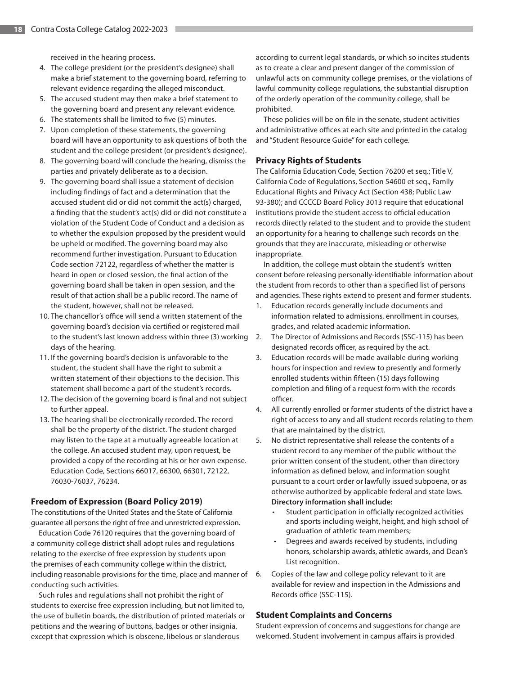received in the hearing process.

- 4. The college president (or the president's designee) shall make a brief statement to the governing board, referring to relevant evidence regarding the alleged misconduct.
- 5. The accused student may then make a brief statement to the governing board and present any relevant evidence.
- 6. The statements shall be limited to five (5) minutes.
- 7. Upon completion of these statements, the governing board will have an opportunity to ask questions of both the student and the college president (or president's designee).
- 8. The governing board will conclude the hearing, dismiss the parties and privately deliberate as to a decision.
- 9. The governing board shall issue a statement of decision including findings of fact and a determination that the accused student did or did not commit the act(s) charged, a finding that the student's act(s) did or did not constitute a violation of the Student Code of Conduct and a decision as to whether the expulsion proposed by the president would be upheld or modified. The governing board may also recommend further investigation. Pursuant to Education Code section 72122, regardless of whether the matter is heard in open or closed session, the final action of the governing board shall be taken in open session, and the result of that action shall be a public record. The name of the student, however, shall not be released.
- 10. The chancellor's office will send a written statement of the governing board's decision via certified or registered mail to the student's last known address within three (3) working days of the hearing.
- 11. If the governing board's decision is unfavorable to the student, the student shall have the right to submit a written statement of their objections to the decision. This statement shall become a part of the student's records.
- 12. The decision of the governing board is final and not subject to further appeal.
- 13. The hearing shall be electronically recorded. The record shall be the property of the district. The student charged may listen to the tape at a mutually agreeable location at the college. An accused student may, upon request, be provided a copy of the recording at his or her own expense. Education Code, Sections 66017, 66300, 66301, 72122, 76030-76037, 76234.

#### **Freedom of Expression (Board Policy 2019)**

The constitutions of the United States and the State of California guarantee all persons the right of free and unrestricted expression.

Education Code 76120 requires that the governing board of a community college district shall adopt rules and regulations relating to the exercise of free expression by students upon the premises of each community college within the district, including reasonable provisions for the time, place and manner of conducting such activities.

Such rules and regulations shall not prohibit the right of students to exercise free expression including, but not limited to, the use of bulletin boards, the distribution of printed materials or petitions and the wearing of buttons, badges or other insignia, except that expression which is obscene, libelous or slanderous

according to current legal standards, or which so incites students as to create a clear and present danger of the commission of unlawful acts on community college premises, or the violations of lawful community college regulations, the substantial disruption of the orderly operation of the community college, shall be prohibited.

These policies will be on file in the senate, student activities and administrative offices at each site and printed in the catalog and "Student Resource Guide" for each college.

#### **Privacy Rights of Students**

The California Education Code, Section 76200 et seq.; Title V, California Code of Regulations, Section 54600 et seq., Family Educational Rights and Privacy Act (Section 438; Public Law 93-380); and CCCCD Board Policy 3013 require that educational institutions provide the student access to official education records directly related to the student and to provide the student an opportunity for a hearing to challenge such records on the grounds that they are inaccurate, misleading or otherwise inappropriate.

In addition, the college must obtain the student's written consent before releasing personally-identifiable information about the student from records to other than a specified list of persons and agencies. These rights extend to present and former students.

- 1. Education records generally include documents and information related to admissions, enrollment in courses, grades, and related academic information.
- 2. The Director of Admissions and Records (SSC-115) has been designated records officer, as required by the act.
- 3. Education records will be made available during working hours for inspection and review to presently and formerly enrolled students within fifteen (15) days following completion and filing of a request form with the records officer.
- 4. All currently enrolled or former students of the district have a right of access to any and all student records relating to them that are maintained by the district.
- 5. No district representative shall release the contents of a student record to any member of the public without the prior written consent of the student, other than directory information as defined below, and information sought pursuant to a court order or lawfully issued subpoena, or as otherwise authorized by applicable federal and state laws. **Directory information shall include:**
	- Student participation in officially recognized activities and sports including weight, height, and high school of graduation of athletic team members;
	- Degrees and awards received by students, including honors, scholarship awards, athletic awards, and Dean's List recognition.
- 6. Copies of the law and college policy relevant to it are available for review and inspection in the Admissions and Records office (SSC-115).

#### **Student Complaints and Concerns**

Student expression of concerns and suggestions for change are welcomed. Student involvement in campus affairs is provided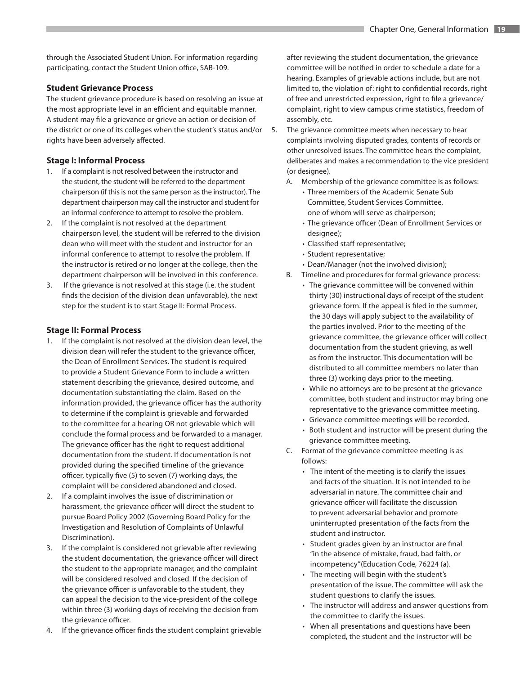through the Associated Student Union. For information regarding participating, contact the Student Union office, SAB-109.

## **Student Grievance Process**

The student grievance procedure is based on resolving an issue at the most appropriate level in an efficient and equitable manner. A student may file a grievance or grieve an action or decision of the district or one of its colleges when the student's status and/or rights have been adversely affected.

## **Stage I: Informal Process**

- 1. If a complaint is not resolved between the instructor and the student, the student will be referred to the department chairperson (if this is not the same person as the instructor). The department chairperson may call the instructor and student for an informal conference to attempt to resolve the problem.
- 2. If the complaint is not resolved at the department chairperson level, the student will be referred to the division dean who will meet with the student and instructor for an informal conference to attempt to resolve the problem. If the instructor is retired or no longer at the college, then the department chairperson will be involved in this conference.
- 3. If the grievance is not resolved at this stage (i.e. the student finds the decision of the division dean unfavorable), the next step for the student is to start Stage II: Formal Process.

# **Stage II: Formal Process**

- 1. If the complaint is not resolved at the division dean level, the division dean will refer the student to the grievance officer, the Dean of Enrollment Services. The student is required to provide a Student Grievance Form to include a written statement describing the grievance, desired outcome, and documentation substantiating the claim. Based on the information provided, the grievance officer has the authority to determine if the complaint is grievable and forwarded to the committee for a hearing OR not grievable which will conclude the formal process and be forwarded to a manager. The grievance officer has the right to request additional documentation from the student. If documentation is not provided during the specified timeline of the grievance officer, typically five (5) to seven (7) working days, the complaint will be considered abandoned and closed.
- 2. If a complaint involves the issue of discrimination or harassment, the grievance officer will direct the student to pursue Board Policy 2002 (Governing Board Policy for the Investigation and Resolution of Complaints of Unlawful Discrimination).
- 3. If the complaint is considered not grievable after reviewing the student documentation, the grievance officer will direct the student to the appropriate manager, and the complaint will be considered resolved and closed. If the decision of the grievance officer is unfavorable to the student, they can appeal the decision to the vice-president of the college within three (3) working days of receiving the decision from the grievance officer.
- 4. If the grievance officer finds the student complaint grievable

after reviewing the student documentation, the grievance committee will be notified in order to schedule a date for a hearing. Examples of grievable actions include, but are not limited to, the violation of: right to confidential records, right of free and unrestricted expression, right to file a grievance/ complaint, right to view campus crime statistics, freedom of assembly, etc.

- 5. The grievance committee meets when necessary to hear complaints involving disputed grades, contents of records or other unresolved issues. The committee hears the complaint, deliberates and makes a recommendation to the vice president (or designee).
	- A. Membership of the grievance committee is as follows:
		- Three members of the Academic Senate Sub Committee, Student Services Committee, one of whom will serve as chairperson;
		- The grievance officer (Dean of Enrollment Services or designee);
		- Classified staff representative;
		- Student representative;
		- Dean/Manager (not the involved division);
	- B. Timeline and procedures for formal grievance process:
		- The grievance committee will be convened within thirty (30) instructional days of receipt of the student grievance form. If the appeal is filed in the summer, the 30 days will apply subject to the availability of the parties involved. Prior to the meeting of the grievance committee, the grievance officer will collect documentation from the student grieving, as well as from the instructor. This documentation will be distributed to all committee members no later than three (3) working days prior to the meeting.
			- While no attorneys are to be present at the grievance committee, both student and instructor may bring one representative to the grievance committee meeting.
		- Grievance committee meetings will be recorded.
		- Both student and instructor will be present during the grievance committee meeting.
	- C. Format of the grievance committee meeting is as follows:
		- The intent of the meeting is to clarify the issues and facts of the situation. It is not intended to be adversarial in nature. The committee chair and grievance officer will facilitate the discussion to prevent adversarial behavior and promote uninterrupted presentation of the facts from the student and instructor.
		- Student grades given by an instructor are final "in the absence of mistake, fraud, bad faith, or incompetency"(Education Code, 76224 (a).
		- The meeting will begin with the student's presentation of the issue. The committee will ask the student questions to clarify the issues.
		- The instructor will address and answer questions from the committee to clarify the issues.
		- When all presentations and questions have been completed, the student and the instructor will be